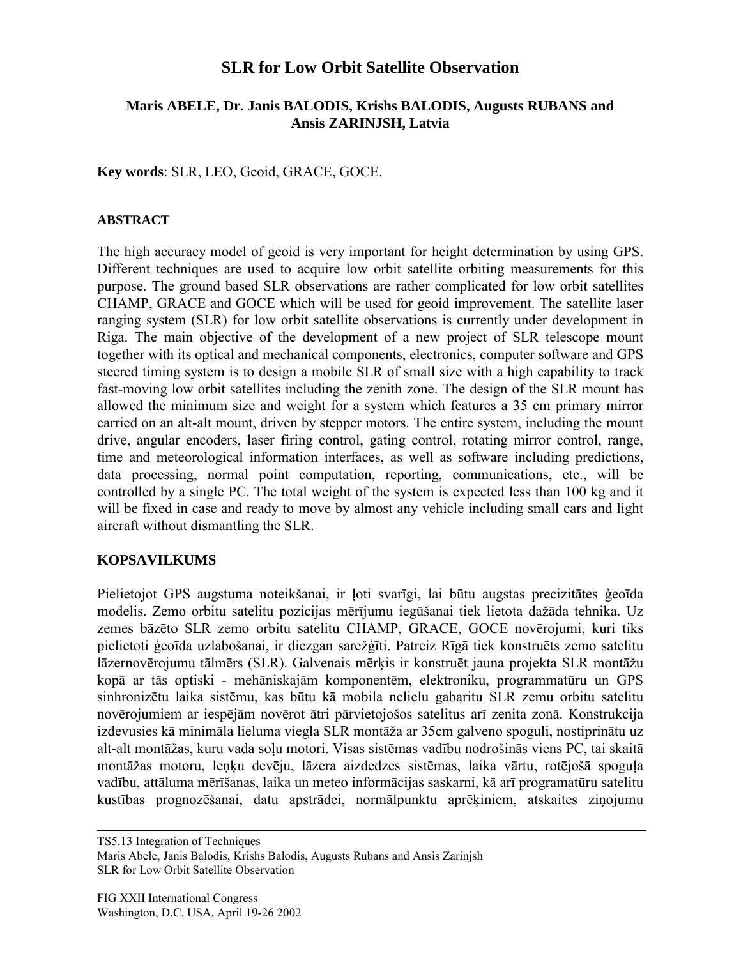# **SLR for Low Orbit Satellite Observation**

## **Maris ABELE, Dr. Janis BALODIS, Krishs BALODIS, Augusts RUBANS and Ansis ZARINJSH, Latvia**

**Key words**: SLR, LEO, Geoid, GRACE, GOCE.

#### **ABSTRACT**

The high accuracy model of geoid is very important for height determination by using GPS. Different techniques are used to acquire low orbit satellite orbiting measurements for this purpose. The ground based SLR observations are rather complicated for low orbit satellites CHAMP, GRACE and GOCE which will be used for geoid improvement. The satellite laser ranging system (SLR) for low orbit satellite observations is currently under development in Riga. The main objective of the development of a new project of SLR telescope mount together with its optical and mechanical components, electronics, computer software and GPS steered timing system is to design a mobile SLR of small size with a high capability to track fast-moving low orbit satellites including the zenith zone. The design of the SLR mount has allowed the minimum size and weight for a system which features a 35 cm primary mirror carried on an alt-alt mount, driven by stepper motors. The entire system, including the mount drive, angular encoders, laser firing control, gating control, rotating mirror control, range, time and meteorological information interfaces, as well as software including predictions, data processing, normal point computation, reporting, communications, etc., will be controlled by a single PC. The total weight of the system is expected less than 100 kg and it will be fixed in case and ready to move by almost any vehicle including small cars and light aircraft without dismantling the SLR.

## **KOPSAVILKUMS**

Pielietojot GPS augstuma noteikšanai, ir loti svarīgi, lai būtu augstas precizitātes ģeoīda modelis. Zemo orbitu satelitu pozicijas mērījumu iegūšanai tiek lietota dažāda tehnika. Uz zemes bāzēto SLR zemo orbitu satelitu CHAMP, GRACE, GOCE novērojumi, kuri tiks pielietoti ģeoīda uzlabošanai, ir diezgan sarežģīti. Patreiz Rīgā tiek konstruēts zemo satelitu lāzernovērojumu tālmērs (SLR). Galvenais mērķis ir konstruēt jauna projekta SLR montāžu kopā ar tās optiski - mehāniskajām komponentēm, elektroniku, programmatūru un GPS sinhronizētu laika sistēmu, kas būtu kā mobila nelielu gabaritu SLR zemu orbitu satelitu novērojumiem ar iespējām novērot ātri pārvietojošos satelitus arī zenita zonā. Konstrukcija izdevusies kā minimāla lieluma viegla SLR montāža ar 35cm galveno spoguli, nostiprinātu uz alt-alt montāžas, kuru vada soļu motori. Visas sistēmas vadību nodrošinās viens PC, tai skaitā montāžas motoru, leņķu devēju, lāzera aizdedzes sistēmas, laika vārtu, rotējošā spoguļa vadību, attāluma mērīšanas, laika un meteo informācijas saskarni, kā arī programatūru satelitu kustības prognozēšanai, datu apstrādei, normālpunktu aprēķiniem, atskaites ziņojumu

TS5.13 Integration of Techniques Maris Abele, Janis Balodis, Krishs Balodis, Augusts Rubans and Ansis Zarinjsh SLR for Low Orbit Satellite Observation